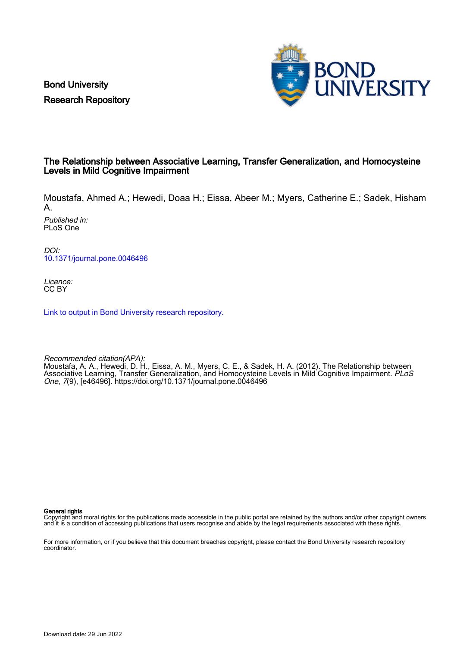Bond University Research Repository



# The Relationship between Associative Learning, Transfer Generalization, and Homocysteine Levels in Mild Cognitive Impairment

Moustafa, Ahmed A.; Hewedi, Doaa H.; Eissa, Abeer M.; Myers, Catherine E.; Sadek, Hisham A.

Published in: PLoS One

DOI: [10.1371/journal.pone.0046496](https://doi.org/10.1371/journal.pone.0046496)

Licence: CC BY

[Link to output in Bond University research repository.](https://research.bond.edu.au/en/publications/1d9d38e1-7e0d-48cc-9ac7-2b5d4bec6638)

Recommended citation(APA): Moustafa, A. A., Hewedi, D. H., Eissa, A. M., Myers, C. E., & Sadek, H. A. (2012). The Relationship between Associative Learning, Transfer Generalization, and Homocysteine Levels in Mild Cognitive Impairment. *PLoS* One, 7(9), [e46496].<https://doi.org/10.1371/journal.pone.0046496>

General rights

Copyright and moral rights for the publications made accessible in the public portal are retained by the authors and/or other copyright owners and it is a condition of accessing publications that users recognise and abide by the legal requirements associated with these rights.

For more information, or if you believe that this document breaches copyright, please contact the Bond University research repository coordinator.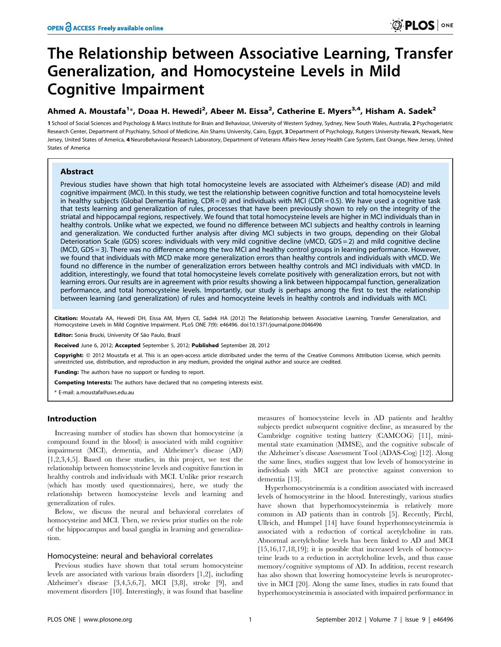# The Relationship between Associative Learning, Transfer Generalization, and Homocysteine Levels in Mild Cognitive Impairment

# Ahmed A. Moustafa<sup>1</sup>\*, Doaa H. Hewedi<sup>2</sup>, Abeer M. Eissa<sup>2</sup>, Catherine E. Myers<sup>3,4</sup>, Hisham A. Sadek<sup>2</sup>

1 School of Social Sciences and Psychology & Marcs Institute for Brain and Behaviour, University of Western Sydney, Sydney, New South Wales, Australia, 2 Psychogeriatric Research Center, Department of Psychiatry, School of Medicine, Ain Shams University, Cairo, Egypt, 3 Department of Psychology, Rutgers University-Newark, Newark, New Jersey, United States of America, 4NeuroBehavioral Research Laboratory, Department of Veterans Affairs-New Jersey Health Care System, East Orange, New Jersey, United States of America

# Abstract

Previous studies have shown that high total homocysteine levels are associated with Alzheimer's disease (AD) and mild cognitive impairment (MCI). In this study, we test the relationship between cognitive function and total homocysteine levels in healthy subjects (Global Dementia Rating, CDR = 0) and individuals with MCI (CDR = 0.5). We have used a cognitive task that tests learning and generalization of rules, processes that have been previously shown to rely on the integrity of the striatal and hippocampal regions, respectively. We found that total homocysteine levels are higher in MCI individuals than in healthy controls. Unlike what we expected, we found no difference between MCI subjects and healthy controls in learning and generalization. We conducted further analysis after diving MCI subjects in two groups, depending on their Global Deterioration Scale (GDS) scores: individuals with very mild cognitive decline (vMCD, GDS = 2) and mild cognitive decline (MCD, GDS = 3). There was no difference among the two MCI and healthy control groups in learning performance. However, we found that individuals with MCD make more generalization errors than healthy controls and individuals with vMCD. We found no difference in the number of generalization errors between healthy controls and MCI individuals with vMCD. In addition, interestingly, we found that total homocysteine levels correlate positively with generalization errors, but not with learning errors. Our results are in agreement with prior results showing a link between hippocampal function, generalization performance, and total homocysteine levels. Importantly, our study is perhaps among the first to test the relationship between learning (and generalization) of rules and homocysteine levels in healthy controls and individuals with MCI.

Citation: Moustafa AA, Hewedi DH, Eissa AM, Myers CE, Sadek HA (2012) The Relationship between Associative Learning, Transfer Generalization, and Homocysteine Levels in Mild Cognitive Impairment. PLoS ONE 7(9): e46496. doi:10.1371/journal.pone.0046496

Editor: Sonia Brucki, University Of São Paulo, Brazil

Received June 6, 2012; Accepted September 5, 2012; Published September 28, 2012

**Copyright:** © 2012 Moustafa et al. This is an open-access article distributed under the terms of the Creative Commons Attribution License, which permits unrestricted use, distribution, and reproduction in any medium, provided the original author and source are credited.

Funding: The authors have no support or funding to report.

Competing Interests: The authors have declared that no competing interests exist.

\* E-mail: a.moustafa@uws.edu.au

#### Introduction

Increasing number of studies has shown that homocysteine (a compound found in the blood) is associated with mild cognitive impairment (MCI), dementia, and Alzheimer's disease (AD) [1,2,3,4,5]. Based on these studies, in this project, we test the relationship between homocysteine levels and cognitive function in healthy controls and individuals with MCI. Unlike prior research (which has mostly used questionnaires), here, we study the relationship between homocysteine levels and learning and generalization of rules.

Below, we discuss the neural and behavioral correlates of homocysteine and MCI. Then, we review prior studies on the role of the hippocampus and basal ganglia in learning and generalization.

#### Homocysteine: neural and behavioral correlates

Previous studies have shown that total serum homocysteine levels are associated with various brain disorders [1,2], including Alzheimer's disease [3,4,5,6,7], MCI [3,8], stroke [9], and movement disorders [10]. Interestingly, it was found that baseline measures of homocysteine levels in AD patients and healthy subjects predict subsequent cognitive decline, as measured by the Cambridge cognitive testing battery (CAMCOG) [11], minimental state examination (MMSE), and the cognitive subscale of the Alzheimer's disease Assessment Tool (ADAS-Cog) [12]. Along the same lines, studies suggest that low levels of homocysteine in individuals with MCI are protective against conversion to dementia [13].

Hyperhomocysteinemia is a condition associated with increased levels of homocysteine in the blood. Interestingly, various studies have shown that hyperhomocysteinemia is relatively more common in AD patients than in controls [5]. Recently, Pirchl, Ullrich, and Humpel [14] have found hyperhomocysteinemia is associated with a reduction of cortical acetylcholine in rats. Abnormal acetylcholine levels has been linked to AD and MCI [15,16,17,18,19]; it is possible that increased levels of homocysteine leads to a reduction in acetylcholine levels, and thus cause memory/cognitive symptoms of AD. In addition, recent research has also shown that lowering homocysteine levels is neuroprotective in MCI [20]. Along the same lines, studies in rats found that hyperhomocysteinemia is associated with impaired performance in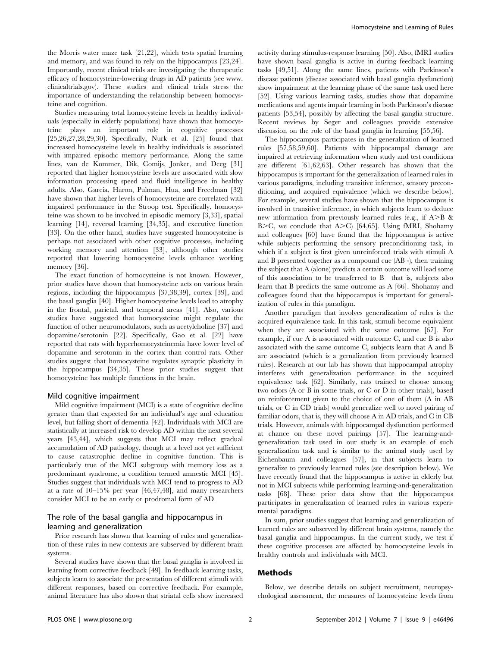the Morris water maze task [21,22], which tests spatial learning and memory, and was found to rely on the hippocampus [23,24]. Importantly, recent clinical trials are investigating the therapeutic efficacy of homocysteine-lowering drugs in AD patients (see www. clinicaltrials.gov). These studies and clinical trials stress the importance of understanding the relationship between homocysteine and cognition.

Studies measuring total homocysteine levels in healthy individuals (especially in elderly populations) have shown that homocysteine plays an important role in cognitive processes [25,26,27,28,29,30]. Specifically, Nurk et al. [25] found that increased homocysteine levels in healthy individuals is associated with impaired episodic memory performance. Along the same lines, van de Kommer, Dik, Comijs, Jonker, and Deeg [31] reported that higher homocysteine levels are associated with slow information processing speed and fluid intelligence in healthy adults. Also, Garcia, Haron, Pulman, Hua, and Freedman [32] have shown that higher levels of homocysteine are correlated with impaired performance in the Stroop test. Specifically, homocysteine was shown to be involved in episodic memory [3,33], spatial learning [14], reversal learning [34,35], and executive function [33]. On the other hand, studies have suggested homocysteine is perhaps not associated with other cognitive processes, including working memory and attention [33], although other studies reported that lowering homocysteine levels enhance working memory [36].

The exact function of homocysteine is not known. However, prior studies have shown that homocysteine acts on various brain regions, including the hippocampus [37,38,39], cortex [39], and the basal ganglia [40]. Higher homocysteine levels lead to atrophy in the frontal, parietal, and temporal areas [41]. Also, various studies have suggested that homocysteine might regulate the function of other neuromodulators, such as acetylcholine [37] and dopamine/serotonin [22]. Specifically, Gao et al. [22] have reported that rats with hyperhomocysteinemia have lower level of dopamine and serotonin in the cortex than control rats. Other studies suggest that homocysteine regulates synaptic plasticity in the hippocampus [34,35]. These prior studies suggest that homocysteine has multiple functions in the brain.

#### Mild cognitive impairment

Mild cognitive impairment (MCI) is a state of cognitive decline greater than that expected for an individual's age and education level, but falling short of dementia [42]. Individuals with MCI are statistically at increased risk to develop AD within the next several years [43,44], which suggests that MCI may reflect gradual accumulation of AD pathology, though at a level not yet sufficient to cause catastrophic decline in cognitive function. This is particularly true of the MCI subgroup with memory loss as a predominant syndrome, a condition termed amnestic MCI [45]. Studies suggest that individuals with MCI tend to progress to AD at a rate of 10–15% per year [46,47,48], and many researchers consider MCI to be an early or prodromal form of AD.

# The role of the basal ganglia and hippocampus in learning and generalization

Prior research has shown that learning of rules and generalization of these rules in new contexts are subserved by different brain systems.

Several studies have shown that the basal ganglia is involved in learning from corrective feedback [49]. In feedback learning tasks, subjects learn to associate the presentation of different stimuli with different responses, based on corrective feedback. For example, animal literature has also shown that striatal cells show increased activity during stimulus-response learning [50]. Also, fMRI studies have shown basal ganglia is active in during feedback learning tasks [49,51]. Along the same lines, patients with Parkinson's disease patients (disease associated with basal ganglia dysfunction) show impairment at the learning phase of the same task used here [52]. Using various learning tasks, studies show that dopamine medications and agents impair learning in both Parkinson's disease patients [53,54], possibly by affecting the basal ganglia structure. Recent reviews by Seger and colleagues provide extensive discussion on the role of the basal ganglia in learning [55,56].

The hippocampus participates in the generalization of learned rules [57,58,59,60]. Patients with hippocampal damage are impaired at retrieving information when study and test conditions are different [61,62,63]. Other research has shown that the hippocampus is important for the generalization of learned rules in various paradigms, including transitive inference, sensory preconditioning, and acquired equivalence (which we describe below). For example, several studies have shown that the hippocampus is involved in transitive inference, in which subjects learn to deduce new information from previously learned rules (e.g., if  $A \geq B \&$ B $\geq$ C, we conclude that A $\geq$ C) [64,65]. Using fMRI, Shohamy and colleagues [60] have found that the hippocampus is active while subjects performing the sensory preconditioning task, in which if a subject is first given unreinforced trials with stimuli A and B presented together as a compound cue (AB -), then training the subject that A (alone) predicts a certain outcome will lead some of this association to be transferred to B—that is, subjects also learn that B predicts the same outcome as A [66]. Shohamy and colleagues found that the hippocampus is important for generalization of rules in this paradigm.

Another paradigm that involves generalization of rules is the acquired equivalence task. In this task, stimuli become equivalent when they are associated with the same outcome [67]. For example, if cue A is associated with outcome C, and cue B is also associated with the same outcome C, subjects learn that A and B are associated (which is a gernalization from previously learned rules). Research at our lab has shown that hippocampal atrophy interferes with generalization performance in the acquired equivalence task [62]. Similarly, rats trained to choose among two odors (A or B in some trials, or C or D in other trials), based on reinforcement given to the choice of one of them (A in AB trials, or C in CD trials) would generalize well to novel pairing of familiar odors, that is, they will choose A in AD trials, and C in CB trials. However, animals with hippocampal dysfunction performed at chance on these novel pairings [57]. The learning-andgeneralization task used in our study is an example of such generalization task and is similar to the animal study used by Eichenbaum and colleagues [57], in that subjects learn to generalize to previously learned rules (see description below). We have recently found that the hippocampus is active in elderly but not in MCI subjects while performing learning-and-generalization tasks [68]. These prior data show that the hippocampus participates in generalization of learned rules in various experimental paradigms.

In sum, prior studies suggest that learning and generalization of learned rules are subserved by different brain systems, namely the basal ganglia and hippocampus. In the current study, we test if these cognitive processes are affected by homocysteine levels in healthy controls and individuals with MCI.

#### Methods

Below, we describe details on subject recruitment, neuropsychological assessment, the measures of homocysteine levels from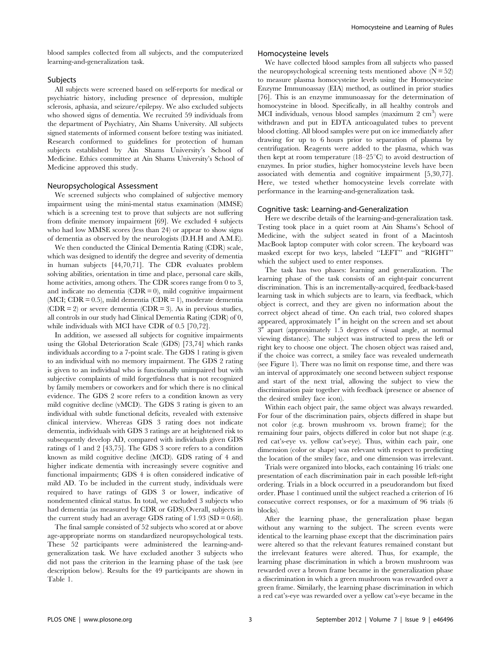blood samples collected from all subjects, and the computerized learning-and-generalization task.

#### Subjects

All subjects were screened based on self-reports for medical or psychiatric history, including presence of depression, multiple sclerosis, aphasia, and seizure/epilepsy. We also excluded subjects who showed signs of dementia. We recruited 59 individuals from the department of Psychiatry, Ain Shams University. All subjects signed statements of informed consent before testing was initiated. Research conformed to guidelines for protection of human subjects established by Ain Shams University's School of Medicine. Ethics committee at Ain Shams University's School of Medicine approved this study.

#### Neuropsychological Assessment

We screened subjects who complained of subjective memory impairment using the mini-mental status examination (MMSE) which is a screening test to prove that subjects are not suffering from definite memory impairment [69]. We excluded 4 subjects who had low MMSE scores (less than 24) or appear to show signs of dementia as observed by the neurologists (D.H.H and A.M.E).

We then conducted the Clinical Dementia Rating (CDR) scale, which was designed to identify the degree and severity of dementia in human subjects [44,70,71]. The CDR evaluates problem solving abilities, orientation in time and place, personal care skills, home activities, among others. The CDR scores range from 0 to 3, and indicate no dementia  $(CDR = 0)$ , mild cognitive impairment (MCI; CDR = 0.5), mild dementia (CDR = 1), moderate dementia  $(CDR = 2)$  or severe dementia  $(CDR = 3)$ . As in previous studies, all controls in our study had Clinical Dementia Rating (CDR) of 0, while individuals with MCI have CDR of 0.5 [70,72].

In addition, we assessed all subjects for cognitive impairments using the Global Deterioration Scale (GDS) [73,74] which ranks individuals according to a 7-point scale. The GDS 1 rating is given to an individual with no memory impairment. The GDS 2 rating is given to an individual who is functionally unimpaired but with subjective complaints of mild forgetfulness that is not recognized by family members or coworkers and for which there is no clinical evidence. The GDS 2 score refers to a condition known as very mild cognitive decline (vMCD). The GDS 3 rating is given to an individual with subtle functional deficits, revealed with extensive clinical interview. Whereas GDS 3 rating does not indicate dementia, individuals with GDS 3 ratings are at heightened risk to subsequently develop AD, compared with individuals given GDS ratings of 1 and 2 [43,75]. The GDS 3 score refers to a condition known as mild cognitive decline (MCD). GDS rating of 4 and higher indicate dementia with increasingly severe cognitive and functional impairments; GDS 4 is often considered indicative of mild AD. To be included in the current study, individuals were required to have ratings of GDS 3 or lower, indicative of nondemented clinical status. In total, we excluded 3 subjects who had dementia (as measured by CDR or GDS).Overall, subjects in the current study had an average GDS rating of  $1.93$  (SD = 0.68).

The final sample consisted of 52 subjects who scored at or above age-appropriate norms on standardized neuropsychological tests. These 52 participants were administered the learning-andgeneralization task. We have excluded another 3 subjects who did not pass the criterion in the learning phase of the task (see description below). Results for the 49 participants are shown in Table 1.

#### Homocysteine levels

We have collected blood samples from all subjects who passed the neuropsychological screening tests mentioned above  $(N = 52)$ to measure plasma homocysteine levels using the Homocysteine Enzyme Immunoassay (EIA) method, as outlined in prior studies [76]. This is an enzyme immunoassay for the determination of homocysteine in blood. Specifically, in all healthy controls and MCI individuals, venous blood samples (maximum 2 cm<sup>3</sup>) were withdrawn and put in EDTA anticoagulated tubes to prevent blood clotting. All blood samples were put on ice immediately after drawing for up to 6 hours prior to separation of plasma by centrifugation. Reagents were added to the plasma, which was then kept at room temperature  $(18-25^{\circ}\text{C})$  to avoid destruction of enzymes. In prior studies, higher homocysteine levels have been associated with dementia and cognitive impairment [5,30,77]. Here, we tested whether homocysteine levels correlate with performance in the learning-and-generalization task.

#### Cognitive task: Learning-and-Generalization

Here we describe details of the learning-and-generalization task. Testing took place in a quiet room at Ain Shams's School of Medicine, with the subject seated in front of a Macintosh MacBook laptop computer with color screen. The keyboard was masked except for two keys, labeled ''LEFT'' and ''RIGHT'' which the subject used to enter responses.

The task has two phases: learning and generalization. The learning phase of the task consists of an eight-pair concurrent discrimination. This is an incrementally-acquired, feedback-based learning task in which subjects are to learn, via feedback, which object is correct, and they are given no information about the correct object ahead of time. On each trial, two colored shapes appeared, approximately 1" in height on the screen and set about 3" apart (approximately 1.5 degrees of visual angle, at normal viewing distance). The subject was instructed to press the left or right key to choose one object. The chosen object was raised and, if the choice was correct, a smiley face was revealed underneath (see Figure 1). There was no limit on response time, and there was an interval of approximately one second between subject response and start of the next trial, allowing the subject to view the discrimination pair together with feedback (presence or absence of the desired smiley face icon).

Within each object pair, the same object was always rewarded. For four of the discrimination pairs, objects differed in shape but not color (e.g. brown mushroom vs. brown frame); for the remaining four pairs, objects differed in color but not shape (e.g. red cat's-eye vs. yellow cat's-eye). Thus, within each pair, one dimension (color or shape) was relevant with respect to predicting the location of the smiley face, and one dimension was irrelevant.

Trials were organized into blocks, each containing 16 trials: one presentation of each discrimination pair in each possible left-right ordering. Trials in a block occurred in a pseudorandom but fixed order. Phase 1 continued until the subject reached a criterion of 16 consecutive correct responses, or for a maximum of 96 trials (6 blocks).

After the learning phase, the generalization phase began without any warning to the subject. The screen events were identical to the learning phase except that the discrimination pairs were altered so that the relevant features remained constant but the irrelevant features were altered. Thus, for example, the learning phase discrimination in which a brown mushroom was rewarded over a brown frame became in the generalization phase a discrimination in which a green mushroom was rewarded over a green frame. Similarly, the learning phase discrimination in which a red cat's-eye was rewarded over a yellow cat's-eye became in the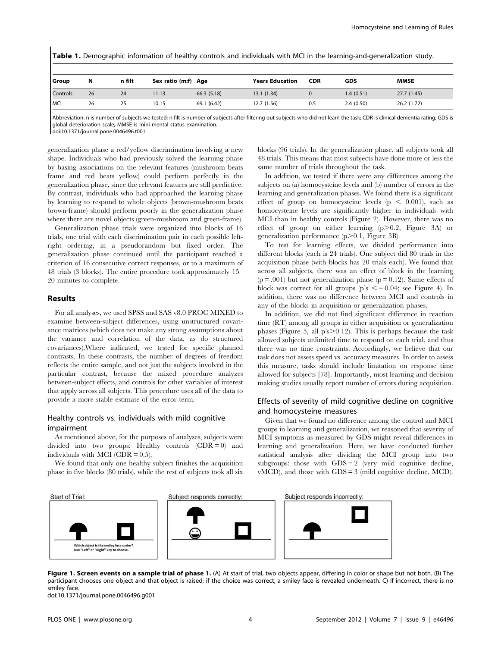Table 1. Demographic information of healthy controls and individuals with MCI in the learning-and-generalization study.

| Group      | N  | n filt | Sex ratio (m:f) Age |             | <b>Years Education</b> | <b>CDR</b> | GDS       | <b>MMSE</b> |
|------------|----|--------|---------------------|-------------|------------------------|------------|-----------|-------------|
| Controls   | 26 | 24     | 11:13               | 66.3 (5.18) | 13.1 (1.34)            |            | 1.4(0.51) | 27.7 (1.45) |
| <b>MCI</b> | 26 | 25     | 10:15               | 69.1 (6.42) | 12.7 (1.56)            | 0.5        | 2.4(0.50) | 26.2 (1.72) |

Abbreviation: n is number of subjects we tested; n filt is number of subjects after filtering out subjects who did not learn the task; CDR is clinical dementia rating; GDS is global deterioration scale; MMSE is mini mental status examination.

doi:10.1371/journal.pone.0046496.t001

generalization phase a red/yellow discrimination involving a new shape. Individuals who had previously solved the learning phase by basing associations on the relevant features (mushroom beats frame and red beats yellow) could perform perfectly in the generalization phase, since the relevant features are still predictive. By contrast, individuals who had approached the learning phase by learning to respond to whole objects (brown-mushroom beats brown-frame) should perform poorly in the generalization phase where there are novel objects (green-mushroom and green-frame).

Generalization phase trials were organized into blocks of 16 trials, one trial with each discrimination pair in each possible leftright ordering, in a pseudorandom but fixed order. The generalization phase continued until the participant reached a criterion of 16 consecutive correct responses, or to a maximum of 48 trials (3 blocks). The entire procedure took approximately 15– 20 minutes to complete.

### Results

For all analyses, we used SPSS and SAS v8.0 PROC MIXED to examine between-subject differences, using unstructured covariance matrices (which does not make any strong assumptions about the variance and correlation of the data, as do structured covariances).Where indicated, we tested for specific planned contrasts. In these contrasts, the number of degrees of freedom reflects the entire sample, and not just the subjects involved in the particular contrast, because the mixed procedure analyzes between-subject effects, and controls for other variables of interest that apply across all subjects. This procedure uses all of the data to provide a more stable estimate of the error term.

# Healthy controls vs. individuals with mild cognitive impairment

As mentioned above, for the purposes of analyses, subjects were divided into two groups: Healthy controls  $(CDR = 0)$  and individuals with MCI (CDR  $= 0.5$ ).

We found that only one healthy subject finishes the acquisition phase in five blocks (80 trials), while the rest of subjects took all six blocks (96 trials). In the generalization phase, all subjects took all 48 trials. This means that most subjects have done more or less the same number of trials throughout the task.

In addition, we tested if there were any differences among the subjects on (a) homocysteine levels and (b) number of errors in the learning and generalization phases. We found there is a significant effect of group on homocysteine levels ( $p < 0.001$ ), such as homocysteine levels are significantly higher in individuals with MCI than in healthy controls (Figure 2). However, there was no effect of group on either learning  $(p>0.2,$  Figure 3A) or generalization performance  $(p>0.1,$  Figure 3B).

To test for learning effects, we divided performance into different blocks (each is 24 trials). One subject did 80 trials in the acquisition phase (with blocks has 20 trials each). We found that across all subjects, there was an effect of block in the learning  $(p = .001)$  but not generalization phase  $(p = 0.12)$ . Same effects of block was correct for all groups (p's  $\leq$  = 0.04; see Figure 4). In addition, there was no difference between MCI and controls in any of the blocks in acquisition or generalization phases.

In addition, we did not find significant difference in reaction time (RT) among all groups in either acquisition or generalization phases (Figure 5, all  $p's > 0.12$ ). This is perhaps because the task allowed subjects unlimited time to respond on each trial, and thus there was no time constraints. Accordingly, we believe that our task does not assess speed vs. accuracy measures. In order to assess this measure, tasks should include limitation on response time allowed for subjects [78]. Importantly, most learning and decision making studies usually report number of errors during acquisition.

# Effects of severity of mild cognitive decline on cognitive and homocysteine measures

Given that we found no difference among the control and MCI groups in learning and generalization, we reasoned that severity of MCI symptoms as measured by GDS might reveal differences in learning and generalization. Here, we have conducted further statistical analysis after dividing the MCI group into two subgroups: those with  $GDS = 2$  (very mild cognitive decline, vMCD), and those with GDS = 3 (mild cognitive decline, MCD).



Figure 1. Screen events on a sample trial of phase 1. (A) At start of trial, two objects appear, differing in color or shape but not both. (B) The participant chooses one object and that object is raised; if the choice was correct, a smiley face is revealed underneath. C) If incorrect, there is no smiley face.

doi:10.1371/journal.pone.0046496.g001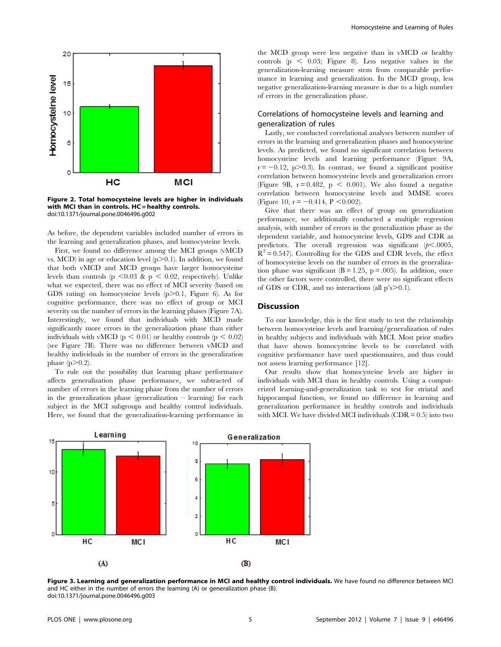

Figure 2. Total homocysteine levels are higher in individuals with MCI than in controls. HC = healthy controls. doi:10.1371/journal.pone.0046496.g002

As before, the dependent variables included number of errors in the learning and generalization phases, and homocysteine levels.

First, we found no difference among the MCI groups (vMCD vs. MCD) in age or education level  $(p>0.1)$ . In addition, we found that both vMCD and MCD groups have larger homocysteine levels than controls (p <0.03 & p < 0.02, respectively). Unlike what we expected, there was no effect of MCI severity (based on GDS rating) on homocysteine levels  $(p>0.1,$  Figure 6). As for cognitive performance, there was no effect of group or MCI severity on the number of errors in the learning phases (Figure 7A). Interestingly, we found that individuals with MCD made significantly more errors in the generalization phase than either individuals with vMCD ( $p < 0.01$ ) or healthy controls ( $p < 0.02$ ) (see Figure 7B). There was no difference between vMCD and healthy individuals in the number of errors in the generalization phase  $(p>0.2)$ .

To rule out the possibility that learning phase performance affects generalization phase performance, we subtracted of number of errors in the learning phase from the number of errors in the generalization phase (generalization – learning) for each subject in the MCI subgroups and healthy control individuals. Here, we found that the generalization-learning performance in the MCD group were less negative than in vMCD or healthy controls  $(p \le 0.03$ ; Figure 8). Less negative values in the generalization-learning measure stem from comparable performance in learning and generalization. In the MCD group, less negative generalization-learning measure is due to a high number of errors in the generalization phase.

# Correlations of homocysteine levels and learning and generalization of rules

Lastly, we conducted correlational analyses between number of errors in the learning and generalization phases and homocysteine levels. As predicted, we found no significant correlation between homocysteine levels and learning performance (Figure 9A,  $r = -0.12$ , p $> 0.3$ ). In contrast, we found a significant positive correlation between homocysteine levels and generalization errors (Figure 9B,  $r = 0.482$ ,  $p < 0.001$ ). We also found a negative correlation between homocysteine levels and MMSE scores (Figure 10,  $r = -0.414$ ,  $P \le 0.002$ ).

Give that there was an effect of group on generalization performance, we additionally conducted a multiple regression analysis, with number of errors in the generalization phase as the dependent variable, and homocysteine levels, GDS and CDR as predictors. The overall regression was significant  $(p<.0005,$  $R^2$  = 0.547). Controlling for the GDS and CDR levels, the effect of homocysteine levels on the number of errors in the generalization phase was significant  $(B = 1.25, p = .005)$ . In addition, once the other factors were controlled, there were no significant effects of GDS or CDR, and no interactions (all  $p's > 0.1$ ).

#### **Discussion**

To our knowledge, this is the first study to test the relationship between homocysteine levels and learning/generalization of rules in healthy subjects and individuals with MCI. Most prior studies that have shown homocysteine levels to be correlated with cognitive performance have used questionnaires, and thus could not assess learning performance [12].

Our results show that homocysteine levels are higher in individuals with MCI than in healthy controls. Using a computerized learning-and-generalization task to test for striatal and hippocampal function, we found no difference in learning and generalization performance in healthy controls and individuals with MCI. We have divided MCI individuals (CDR = 0.5) into two



Figure 3. Learning and generalization performance in MCI and healthy control individuals. We have found no difference between MCI and HC either in the number of errors the learning (A) or generalization phase (B). doi:10.1371/journal.pone.0046496.g003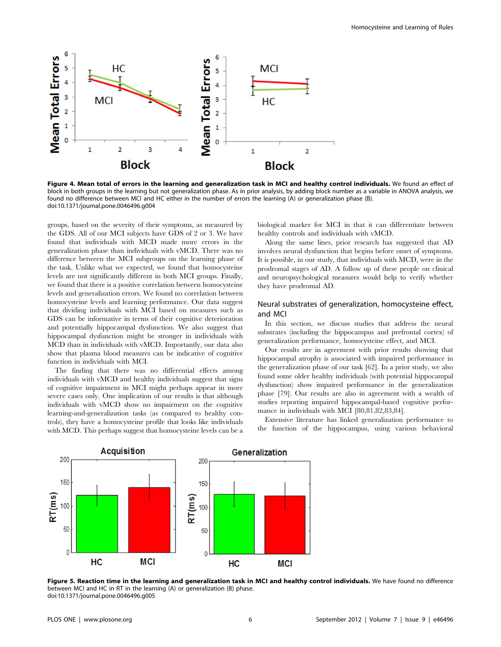

Figure 4. Mean total of errors in the learning and generalization task in MCI and healthy control individuals. We found an effect of block in both groups in the learning but not generalization phase. As in prior analysis, by adding block number as a variable in ANOVA analysis, we found no difference between MCI and HC either in the number of errors the learning (A) or generalization phase (B). doi:10.1371/journal.pone.0046496.g004

groups, based on the severity of their symptoms, as measured by the GDS. All of our MCI subjects have GDS of 2 or 3. We have found that individuals with MCD made more errors in the generalization phase than individuals with vMCD. There was no difference between the MCI subgroups on the learning phase of the task. Unlike what we expected, we found that homocysteine levels are not significantly different in both MCI groups. Finally, we found that there is a positive correlation between homocysteine levels and generalization errors. We found no correlation between homocysteine levels and learning performance. Our data suggest that dividing individuals with MCI based on measures such as GDS can be informative in terms of their cognitive deterioration and potentially hippocampal dysfunction. We also suggest that hippocampal dysfunction might be stronger in individuals with MCD than in individuals with vMCD. Importantly, our data also show that plasma blood measures can be indicative of cognitive function in individuals with MCI.

The finding that there was no differential effects among individuals with vMCD and healthy individuals suggest that signs of cognitive impairment in MCI might perhaps appear in more severe cases only. One implication of our results is that although individuals with vMCD show no impairment on the cognitive learning-and-generalization tasks (as compared to healthy controls), they have a homocysteine profile that looks like individuals with MCD. This perhaps suggest that homocysteine levels can be a biological marker for MCI in that it can differentiate between healthy controls and individuals with vMCD.

Along the same lines, prior research has suggested that AD involves neural dysfunction that begins before onset of symptoms. It is possible, in our study, that individuals with MCD, were in the prodromal stages of AD. A follow up of these people on clinical and neuropsychological measures would help to verify whether they have prodromal AD.

# Neural substrates of generalization, homocysteine effect, and MCI

In this section, we discuss studies that address the neural substrates (including the hippocampus and prefrontal cortex) of generalization performance, homocysteine effect, and MCI.

Our results are in agreement with prior results showing that hippocampal atrophy is associated with impaired performance in the generalization phase of our task [62]. In a prior study, we also found some older healthy individuals (with potential hippocampal dysfunction) show impaired performance in the generalization phase [79]. Our results are also in agreement with a wealth of studies reporting impaired hippocampal-based cognitive performance in individuals with MCI [80,81,82,83,84].

Extensive literature has linked generalization performance to the function of the hippocampus, using various behavioral



Figure 5. Reaction time in the learning and generalization task in MCI and healthy control individuals. We have found no difference between MCI and HC in RT in the learning (A) or generalization (B) phase. doi:10.1371/journal.pone.0046496.g005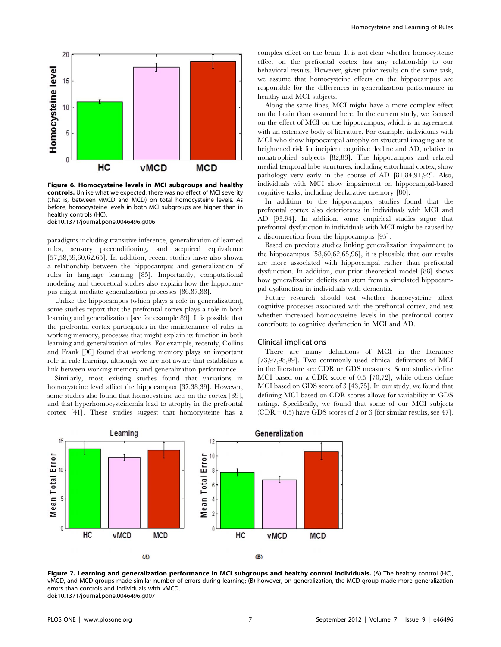

Figure 6. Homocysteine levels in MCI subgroups and healthy controls. Unlike what we expected, there was no effect of MCI severity (that is, between vMCD and MCD) on total homocysteine levels. As before, homocysteine levels in both MCI subgroups are higher than in healthy controls (HC).

doi:10.1371/journal.pone.0046496.g006

paradigms including transitive inference, generalization of learned rules, sensory preconditioning, and acquired equivalence [57,58,59,60,62,65]. In addition, recent studies have also shown a relationship between the hippocampus and generalization of rules in language learning [85]. Importantly, computational modeling and theoretical studies also explain how the hippocampus might mediate generalization processes [86,87,88].

Unlike the hippocampus (which plays a role in generalization), some studies report that the prefrontal cortex plays a role in both learning and generalization [see for example 89]. It is possible that the prefrontal cortex participates in the maintenance of rules in working memory, processes that might explain its function in both learning and generalization of rules. For example, recently, Collins and Frank [90] found that working memory plays an important role in rule learning, although we are not aware that establishes a link between working memory and generalization performance.

Similarly, most existing studies found that variations in homocysteine level affect the hippocampus [37,38,39]. However, some studies also found that homocysteine acts on the cortex [39], and that hyperhomocysteinemia lead to atrophy in the prefrontal cortex [41]. These studies suggest that homocysteine has a

complex effect on the brain. It is not clear whether homocysteine effect on the prefrontal cortex has any relationship to our behavioral results. However, given prior results on the same task, we assume that homocysteine effects on the hippocampus are responsible for the differences in generalization performance in healthy and MCI subjects.

Along the same lines, MCI might have a more complex effect on the brain than assumed here. In the current study, we focused on the effect of MCI on the hippocampus, which is in agreement with an extensive body of literature. For example, individuals with MCI who show hippocampal atrophy on structural imaging are at heightened risk for incipient cognitive decline and AD, relative to nonatrophied subjects [82,83]. The hippocampus and related medial temporal lobe structures, including entorhinal cortex, show pathology very early in the course of AD [81,84,91,92]. Also, individuals with MCI show impairment on hippocampal-based cognitive tasks, including declarative memory [80].

In addition to the hippocampus, studies found that the prefrontal cortex also deteriorates in individuals with MCI and AD [93,94]. In addition, some empirical studies argue that prefrontal dysfunction in individuals with MCI might be caused by a disconnection from the hippocampus [95].

Based on previous studies linking generalization impairment to the hippocampus [58,60,62,65,96], it is plausible that our results are more associated with hippocampal rather than prefrontal dysfunction. In addition, our prior theoretical model [88] shows how generalization deficits can stem from a simulated hippocampal dysfunction in individuals with dementia.

Future research should test whether homocysteine affect cognitive processes associated with the prefrontal cortex, and test whether increased homocysteine levels in the prefrontal cortex contribute to cognitive dysfunction in MCI and AD.

#### Clinical implications

There are many definitions of MCI in the literature [73,97,98,99]. Two commonly used clinical definitions of MCI in the literature are CDR or GDS measures. Some studies define MCI based on a CDR score of 0.5 [70,72], while others define MCI based on GDS score of 3 [43,75]. In our study, we found that defining MCI based on CDR scores allows for variability in GDS ratings. Specifically, we found that some of our MCI subjects  $(CDR = 0.5)$  have GDS scores of 2 or 3 [for similar results, see 47].



Figure 7. Learning and generalization performance in MCI subgroups and healthy control individuals. (A) The healthy control (HC), vMCD, and MCD groups made similar number of errors during learning; (B) however, on generalization, the MCD group made more generalization errors than controls and individuals with vMCD. doi:10.1371/journal.pone.0046496.g007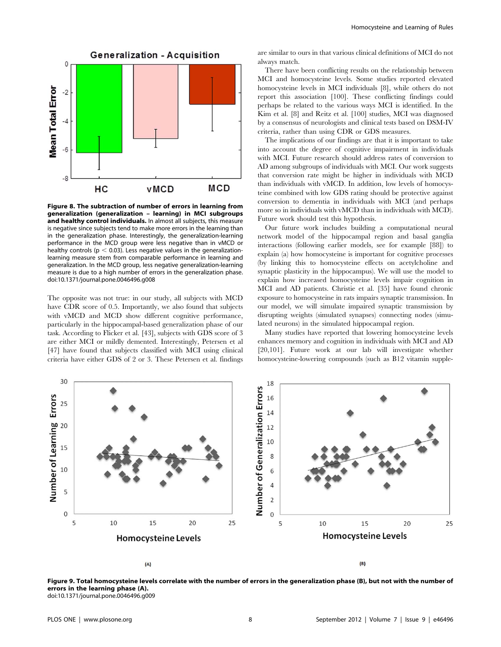

Figure 8. The subtraction of number of errors in learning from generalization (generalization – learning) in MCI subgroups and healthy control individuals. In almost all subjects, this measure is negative since subjects tend to make more errors in the learning than in the generalization phase. Interestingly, the generalization-learning performance in the MCD group were less negative than in vMCD or healthy controls ( $p < 0.03$ ). Less negative values in the generalizationlearning measure stem from comparable performance in learning and generalization. In the MCD group, less negative generalization-learning measure is due to a high number of errors in the generalization phase. doi:10.1371/journal.pone.0046496.g008

The opposite was not true: in our study, all subjects with MCD have CDR score of 0.5. Importantly, we also found that subjects with vMCD and MCD show different cognitive performance, particularly in the hippocampal-based generalization phase of our task. According to Flicker et al. [43], subjects with GDS score of 3 are either MCI or mildly demented. Interestingly, Petersen et al [47] have found that subjects classified with MCI using clinical criteria have either GDS of 2 or 3. These Petersen et al. findings are similar to ours in that various clinical definitions of MCI do not always match.

There have been conflicting results on the relationship between MCI and homocysteine levels. Some studies reported elevated homocysteine levels in MCI individuals [8], while others do not report this association [100]. These conflicting findings could perhaps be related to the various ways MCI is identified. In the Kim et al. [8] and Reitz et al. [100] studies, MCI was diagnosed by a consensus of neurologists and clinical tests based on DSM-IV criteria, rather than using CDR or GDS measures.

The implications of our findings are that it is important to take into account the degree of cognitive impairment in individuals with MCI. Future research should address rates of conversion to AD among subgroups of individuals with MCI. Our work suggests that conversion rate might be higher in individuals with MCD than individuals with vMCD. In addition, low levels of homocysteine combined with low GDS rating should be protective against conversion to dementia in individuals with MCI (and perhaps more so in individuals with vMCD than in individuals with MCD). Future work should test this hypothesis.

Our future work includes building a computational neural network model of the hippocampal region and basal ganglia interactions (following earlier models, see for example [88]) to explain (a) how homocysteine is important for cognitive processes (by linking this to homocysteine effects on acetylcholine and synaptic plasticity in the hippocampus). We will use the model to explain how increased homocysteine levels impair cognition in MCI and AD patients. Christie et al. [35] have found chronic exposure to homocysteine in rats impairs synaptic transmission. In our model, we will simulate impaired synaptic transmission by disrupting weights (simulated synapses) connecting nodes (simulated neurons) in the simulated hippocampal region.

Many studies have reported that lowering homocysteine levels enhances memory and cognition in individuals with MCI and AD [20,101]. Future work at our lab will investigate whether homocysteine-lowering compounds (such as B12 vitamin supple-



Figure 9. Total homocysteine levels correlate with the number of errors in the generalization phase (B), but not with the number of errors in the learning phase (A). doi:10.1371/journal.pone.0046496.g009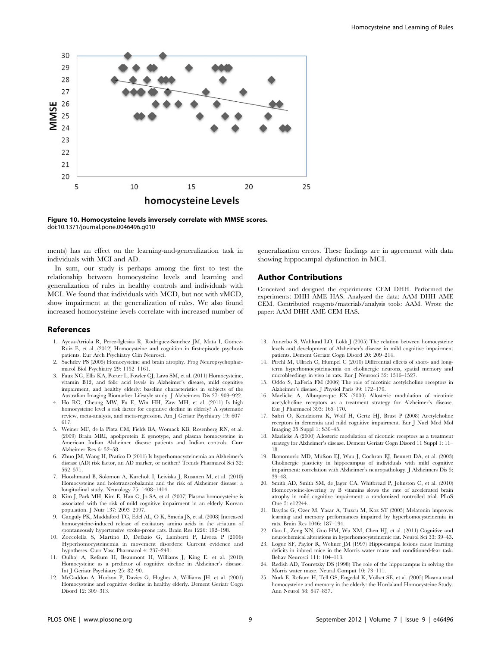

Figure 10. Homocysteine levels inversely correlate with MMSE scores. doi:10.1371/journal.pone.0046496.g010

ments) has an effect on the learning-and-generalization task in individuals with MCI and AD.

In sum, our study is perhaps among the first to test the relationship between homocysteine levels and learning and generalization of rules in healthy controls and individuals with MCI. We found that individuals with MCD, but not with vMCD, show impairment at the generalization of rules. We also found increased homocysteine levels correlate with increased number of

#### References

- 1. Ayesa-Arriola R, Perez-Iglesias R, Rodriguez-Sanchez JM, Mata I, Gomez-Ruiz E, et al. (2012) Homocysteine and cognition in first-episode psychosis patients. Eur Arch Psychiatry Clin Neurosci.
- 2. Sachdev PS (2005) Homocysteine and brain atrophy. Prog Neuropsychopharmacol Biol Psychiatry 29: 1152–1161.
- 3. Faux NG, Ellis KA, Porter L, Fowler CJ, Laws SM, et al. (2011) Homocysteine, vitamin B12, and folic acid levels in Alzheimer's disease, mild cognitive impairment, and healthy elderly: baseline characteristics in subjects of the Australian Imaging Biomarker Lifestyle study. J Alzheimers Dis 27: 909–922.
- 4. Ho RC, Cheung MW, Fu E, Win HH, Zaw MH, et al. (2011) Is high homocysteine level a risk factor for cognitive decline in elderly? A systematic review, meta-analysis, and meta-regression. Am J Geriatr Psychiatry 19: 607– 617.
- 5. Weiner MF, de la Plata CM, Fields BA, Womack KB, Rosenberg RN, et al. (2009) Brain MRI, apoliprotein E genotype, and plasma homocysteine in American Indian Alzheimer disease patients and Indian controls. Curr Alzheimer Res 6: 52–58.
- 6. Zhuo JM, Wang H, Pratico D (2011) Is hyperhomocysteinemia an Alzheimer's disease (AD) risk factor, an AD marker, or neither? Trends Pharmacol Sci 32: 562–571.
- 7. Hooshmand B, Solomon A, Kareholt I, Leiviska J, Rusanen M, et al. (2010) Homocysteine and holotranscobalamin and the risk of Alzheimer disease: a longitudinal study. Neurology 75: 1408–1414.
- 8. Kim J, Park MH, Kim E, Han C, Jo SA, et al. (2007) Plasma homocysteine is associated with the risk of mild cognitive impairment in an elderly Korean population. J Nutr 137: 2093–2097.
- 9. Ganguly PK, Maddaford TG, Edel AL, O K, Smeda JS, et al. (2008) Increased homocysteine-induced release of excitatory amino acids in the striatum of spontaneously hypertensive stroke-prone rats. Brain Res 1226: 192–198.
- 10. Zoccolella S, Martino D, Defazio G, Lamberti P, Livrea P (2006) Hyperhomocysteinemia in movement disorders: Current evidence and hypotheses. Curr Vasc Pharmacol 4: 237–243.
- 11. Oulhaj A, Refsum H, Beaumont H, Williams J, King E, et al. (2010) Homocysteine as a predictor of cognitive decline in Alzheimer's disease. Int J Geriatr Psychiatry 25: 82–90.
- 12. McCaddon A, Hudson P, Davies G, Hughes A, Williams JH, et al. (2001) Homocysteine and cognitive decline in healthy elderly. Dement Geriatr Cogn Disord 12: 309–313.

generalization errors. These findings are in agreement with data showing hippocampal dysfunction in MCI.

#### Author Contributions

Conceived and designed the experiments: CEM DHH. Performed the experiments: DHH AME HAS. Analyzed the data: AAM DHH AME CEM. Contributed reagents/materials/analysis tools: AAM. Wrote the paper: AAM DHH AME CEM HAS.

- 13. Annerbo S, Wahlund LO, Lokk J (2005) The relation between homocysteine levels and development of Alzheimer's disease in mild cognitive impairment patients. Dement Geriatr Cogn Disord 20: 209–214.
- 14. Pirchl M, Ullrich C, Humpel C (2010) Differential effects of short- and longterm hyperhomocysteinaemia on cholinergic neurons, spatial memory and microbleedings in vivo in rats. Eur J Neurosci 32: 1516–1527.
- 15. Oddo S, LaFerla FM (2006) The role of nicotinic acetylcholine receptors in Alzheimer's disease. J Physiol Paris 99: 172–179.
- 16. Maelicke A, Albuquerque EX (2000) Allosteric modulation of nicotinic acetylcholine receptors as a treatment strategy for Alzheimer's disease. Eur J Pharmacol 393: 165–170.
- 17. Sabri O, Kendziorra K, Wolf H, Gertz HJ, Brust P (2008) Acetylcholine receptors in dementia and mild cognitive impairment. Eur J Nucl Med Mol Imaging 35 Suppl 1: S30–45.
- 18. Maelicke A (2000) Allosteric modulation of nicotinic receptors as a treatment strategy for Alzheimer's disease. Dement Geriatr Cogn Disord 11 Suppl 1: 11– 18.
- 19. Ikonomovic MD, Mufson EJ, Wuu J, Cochran EJ, Bennett DA, et al. (2003) Cholinergic plasticity in hippocampus of individuals with mild cognitive impairment: correlation with Alzheimer's neuropathology. J Alzheimers Dis 5: 39–48.
- 20. Smith AD, Smith SM, de Jager CA, Whitbread P, Johnston C, et al. (2010) Homocysteine-lowering by B vitamins slows the rate of accelerated brain atrophy in mild cognitive impairment: a randomized controlled trial. PLoS One 5: e12244.
- 21. Baydas G, Ozer M, Yasar A, Tuzcu M, Koz ST (2005) Melatonin improves learning and memory performances impaired by hyperhomocysteinemia in rats. Brain Res 1046: 187–194.
- 22. Gao L, Zeng XN, Guo HM, Wu XM, Chen HJ, et al. (2011) Cognitive and neurochemical alterations in hyperhomocysteinemic rat. Neurol Sci 33: 39–43.
- 23. Logue SF, Paylor R, Wehner JM (1997) Hippocampal lesions cause learning deficits in inbred mice in the Morris water maze and conditioned-fear task. Behav Neurosci 111: 104–113.
- 24. Redish AD, Touretzky DS (1998) The role of the hippocampus in solving the Morris water maze. Neural Comput 10: 73–111.
- 25. Nurk E, Refsum H, Tell GS, Engedal K, Vollset SE, et al. (2005) Plasma total homocysteine and memory in the elderly: the Hordaland Homocysteine Study. Ann Neurol 58: 847–857.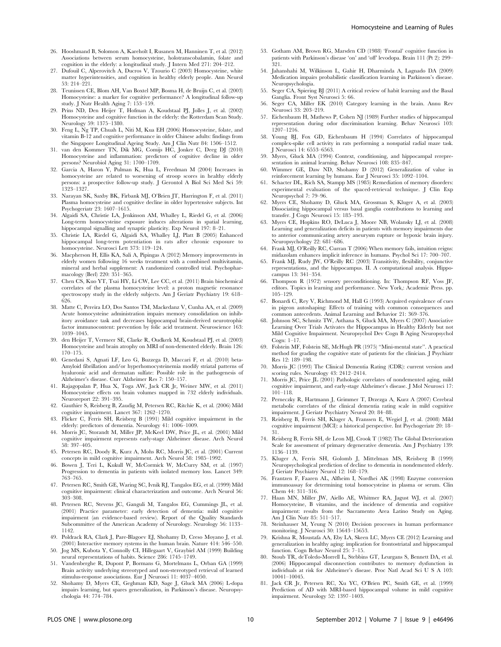- 26. Hooshmand B, Solomon A, Kareholt I, Rusanen M, Hanninen T, et al. (2012) Associations between serum homocysteine, holotranscobalamin, folate and cognition in the elderly: a longitudinal study. J Intern Med 271: 204–212.
- 27. Dufouil C, Alperovitch A, Ducros V, Tzourio C (2003) Homocysteine, white matter hyperintensities, and cognition in healthy elderly people. Ann Neurol 53: 214–221.
- 28. Teunissen CE, Blom AH, Van Boxtel MP, Bosma H, de Bruijn C, et al. (2003) Homocysteine: a marker for cognitive performance? A longitudinal follow-up study. J Nutr Health Aging 7: 153–159.
- 29. Prins ND, Den Heijer T, Hofman A, Koudstaal PJ, Jolles J, et al. (2002) Homocysteine and cognitive function in the elderly: the Rotterdam Scan Study. Neurology 59: 1375–1380.
- 30. Feng L, Ng TP, Chuah L, Niti M, Kua EH (2006) Homocysteine, folate, and vitamin B-12 and cognitive performance in older Chinese adults: findings from the Singapore Longitudinal Ageing Study. Am J Clin Nutr 84: 1506–1512.
- 31. van den Kommer TN, Dik MG, Comijs HC, Jonker C, Deeg DJ (2010) Homocysteine and inflammation: predictors of cognitive decline in older persons? Neurobiol Aging 31: 1700–1709.
- 32. Garcia A, Haron Y, Pulman K, Hua L, Freedman M (2004) Increases in homocysteine are related to worsening of stroop scores in healthy elderly persons: a prospective follow-up study. J Gerontol A Biol Sci Med Sci 59: 1323–1327.
- 33. Narayan SK, Saxby BK, Firbank MJ, O'Brien JT, Harrington F, et al. (2011) Plasma homocysteine and cognitive decline in older hypertensive subjects. Int Psychogeriatr 23: 1607–1615.
- 34. Algaidi SA, Christie LA, Jenkinson AM, Whalley L, Riedel G, et al. (2006) Long-term homocysteine exposure induces alterations in spatial learning, hippocampal signalling and synaptic plasticity. Exp Neurol 197: 8–21.
- 35. Christie LA, Riedel G, Algaidi SA, Whalley LJ, Platt B (2005) Enhanced hippocampal long-term potentiation in rats after chronic exposure to homocysteine. Neurosci Lett 373: 119–124.
- 36. Macpherson H, Ellis KA, Sali A, Pipingas A (2012) Memory improvements in elderly women following 16 weeks treatment with a combined multivitamin, mineral and herbal supplement: A randomized controlled trial. Psychopharmacology (Berl) 220: 351–365.
- 37. Chen CS, Kuo YT, Tsai HY, Li CW, Lee CC, et al. (2011) Brain biochemical correlates of the plasma homocysteine level: a proton magnetic resonance spectroscopy study in the elderly subjects. Am J Geriatr Psychiatry 19: 618– 626.
- 38. Matte C, Pereira LO, Dos Santos TM, Mackedanz V, Cunha AA, et al. (2009) Acute homocysteine administration impairs memory consolidation on inhibitory avoidance task and decreases hippocampal brain-derived neurotrophic factor immunocontent: prevention by folic acid treatment. Neuroscience 163: 1039–1045.
- 39. den Heijer T, Vermeer SE, Clarke R, Oudkerk M, Koudstaal PJ, et al. (2003) Homocysteine and brain atrophy on MRI of non-demented elderly. Brain 126: 170–175.
- 40. Genedani S, Agnati LF, Leo G, Buzzega D, Maccari F, et al. (2010) beta-Amyloid fibrillation and/or hyperhomocysteinemia modify striatal patterns of hyaluronic acid and dermatan sulfate: Possible role in the pathogenesis of Alzheimer's disease. Curr Alzheimer Res 7: 150–157.
- 41. Rajagopalan P, Hua X, Toga AW, Jack CR Jr, Weiner MW, et al. (2011) Homocysteine effects on brain volumes mapped in 732 elderly individuals. Neuroreport 22: 391–395.
- 42. Gauthier S, Reisberg B, Zaudig M, Petersen RC, Ritchie K, et al. (2006) Mild cognitive impairment. Lancet 367: 1262–1270.
- 43. Flicker C, Ferris SH, Reisberg B (1991) Mild cognitive impairment in the elderly: predictors of dementia. Neurology 41: 1006–1009.
- 44. Morris JC, Storandt M, Miller JP, McKeel DW, Price JL, et al. (2001) Mild cognitive impairment represents early-stage Alzheimer disease. Arch Neurol 58: 397–405.
- 45. Petersen RC, Doody R, Kurz A, Mohs RC, Morris JC, et al. (2001) Current concepts in mild cognitive impairment. Arch Neurol 58: 1985–1992.
- 46. Bowen J, Teri L, Kukull W, McCormick W, McCurry SM, et al. (1997) Progression to dementia in patients with isolated memory loss. Lancet 349: 763–765.
- 47. Petersen RC, Smith GE, Waring SC, Ivnik RJ, Tangalos EG, et al. (1999) Mild cognitive impairment: clinical characterization and outcome. Arch Neurol 56: 303–308.
- 48. Petersen RC, Stevens JC, Ganguli M, Tangalos EG, Cummings JL, et al. (2001) Practice parameter: early detection of dementia: mild cognitive impairment (an evidence-based review). Report of the Quality Standards Subcommittee of the American Academy of Neurology. Neurology 56: 1133– 1142.
- 49. Poldrack RA, Clark J, Pare-Blagoev EJ, Shohamy D, Creso Moyano J, et al. (2001) Interactive memory systems in the human brain. Nature 414: 546–550.
- 50. Jog MS, Kubota Y, Connolly CI, Hillegaart V, Graybiel AM (1999) Building neural representations of habits. Science 286: 1745–1749.
- 51. Vandenberghe R, Dupont P, Bormans G, Mortelmans L, Orban GA (1999) Brain activity underlying stereotyped and non-stereotyped retrieval of learned stimulus-response associations. Eur J Neurosci 11: 4037–4050.
- 52. Shohamy D, Myers CE, Geghman KD, Sage J, Gluck MA (2006) L-dopa impairs learning, but spares generalization, in Parkinson's disease. Neuropsychologia 44: 774–784.
- 53. Gotham AM, Brown RG, Marsden CD (1988) 'Frontal' cognitive function in patients with Parkinson's disease 'on' and 'off' levodopa. Brain 111 (Pt 2): 299– 321.
- 54. Jahanshahi M, Wilkinson L, Gahir H, Dharminda A, Lagnado DA (2009) Medication impairs probabilistic classification learning in Parkinson's disease. Neuropsychologia.
- 55. Seger CA, Spiering BJ (2011) A critical review of habit learning and the Basal Ganglia. Front Syst Neurosci 5: 66.
- 56. Seger CA, Miller EK (2010) Category learning in the brain. Annu Rev Neurosci 33: 203–219.
- 57. Eichenbaum H, Mathews P, Cohen NJ (1989) Further studies of hippocampal representation during odor discrimination learning. Behav Neurosci 103: 1207–1216.
- 58. Young BJ, Fox GD, Eichenbaum H (1994) Correlates of hippocampal complex-spike cell activity in rats performing a nonspatial radial maze task. J Neurosci 14: 6553–6563.
- 59. Myers, Gluck MA (1994) Context, conditioning, and hippocampal rerepresentation in animal learning. Behav Neurosci 108: 835–847.
- 60. Wimmer GE, Daw ND, Shohamy D (2012) Generalization of value in reinforcement learning by humans. Eur J Neurosci 35: 1092–1104.
- 61. Schacter DL, Rich SA, Stampp MS (1985) Remediation of memory disorders: experimental evaluation of the spaced-retrieval technique. J Clin Exp Neuropsychol 7: 79–96.
- 62. Myers CE, Shohamy D, Gluck MA, Grossman S, Kluger A, et al. (2003) Dissociating hippocampal versus basal ganglia contributions to learning and transfer. J Cogn Neurosci 15: 185–193.
- 63. Myers CE, Hopkins RO, DeLuca J, Moore NB, Wolansky LJ, et al. (2008) Learning and generalization deficits in patients with memory impairments due to anterior communicating artery aneurysm rupture or hypoxic brain injury. Neuropsychology 22: 681–686.
- 64. Frank MJ, O'Reilly RC, Curran T (2006) When memory fails, intuition reigns: midazolam enhances implicit inference in humans. Psychol Sci 17: 700–707.
- 65. Frank MJ, Rudy JW, O'Reilly RC (2003) Transitivity, flexibility, conjunctive representations, and the hippocampus. II. A computational analysis. Hippocampus 13: 341–354.
- 66. Thompson R (1972) sensory preconditioning. In: Thompson RF, Voss JF, editors. Topics in learning and performance. New York,: Academic Press. pp. 105–129.
- 67. Bonardi C, Rey V, Richmond M, Hall G (1993) Acquired equivalence of cues in pigeon autoshaping: Effects of training with common consequences and common antecedents. Animal Learning and Behavior 21: 369–376.
- 68. Johnson SC, Schmitz TW, Asthana S, Gluck MA, Myers C (2007) Associative Learning Over Trials Activates the Hippocampus in Healthy Elderly but not Mild Cognitive Impairment. Neuropsychol Dev Cogn B Aging Neuropsychol Cogn: 1–17.
- 69. Folstein MF, Folstein SE, McHugh PR (1975) ''Mini-mental state''. A practical method for grading the cognitive state of patients for the clinician. J Psychiatr Res 12: 189–198.
- 70. Morris JC (1993) The Clinical Dementia Rating (CDR): current version and scoring rules. Neurology 43: 2412–2414.
- 71. Morris JC, Price JL (2001) Pathologic correlates of nondemented aging, mild cognitive impairment, and early-stage Alzheimer's disease. J Mol Neurosci 17: 101–118.
- 72. Perneczky R, Hartmann J, Grimmer T, Drzezga A, Kurz A (2007) Cerebral metabolic correlates of the clinical dementia rating scale in mild cognitive impairment. J Geriatr Psychiatry Neurol 20: 84–88.
- 73. Reisberg B, Ferris SH, Kluger A, Franssen E, Wegiel J, et al. (2008) Mild cognitive impairment (MCI): a historical perspective. Int Psychogeriatr 20: 18– 31.
- 74. Reisberg B, Ferris SH, de Leon MJ, Crook T (1982) The Global Deterioration Scale for assessment of primary degenerative dementia. Am J Psychiatry 139: 1136–1139.
- 75. Kluger A, Ferris SH, Golomb J, Mittelman MS, Reisberg B (1999) Neuropsychological prediction of decline to dementia in nondemented elderly. J Geriatr Psychiatry Neurol 12: 168–179.
- 76. Frantzen F, Faaren AL, Alfheim I, Nordhei AK (1998) Enzyme conversion immunoassay for determining total homocysteine in plasma or serum. Clin Chem 44: 311–316.
- 77. Haan MN, Miller JW, Aiello AE, Whitmer RA, Jagust WJ, et al. (2007) Homocysteine, B vitamins, and the incidence of dementia and cognitive impairment: results from the Sacramento Area Latino Study on Aging. Am J Clin Nutr 85: 511–517.
- 78. Steinhauser M, Yeung N (2010) Decision processes in human performance monitoring. J Neurosci 30: 15643–15653.
- 79. Krishna R, Moustafa AA, Eby LA, Skeen LC, Myers CE (2012) Learning and generalization in healthy aging: implication for frontostriatal and hippocampal function. Cogn Behav Neurol 25: 7–15.
- 80. Stoub TR, deToledo-Morrell L, Stebbins GT, Leurgans S, Bennett DA, et al. (2006) Hippocampal disconnection contributes to memory dysfunction in individuals at risk for Alzheimer's disease. Proc Natl Acad Sci U S A 103: 10041–10045.
- 81. Jack CR Jr, Petersen RC, Xu YC, O'Brien PC, Smith GE, et al. (1999) Prediction of AD with MRI-based hippocampal volume in mild cognitive impairment. Neurology 52: 1397–1403.